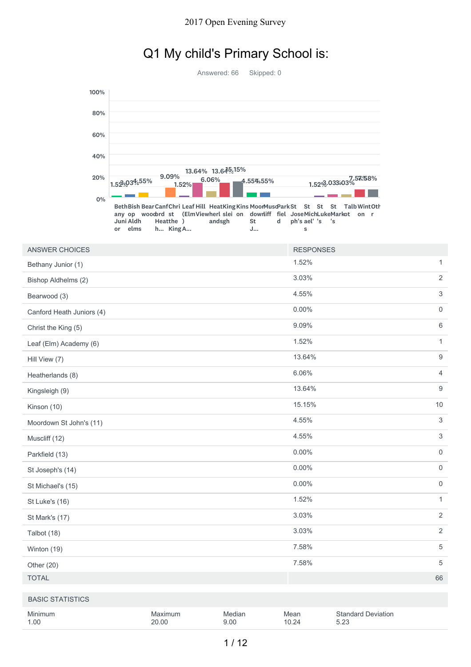## Q1 My child's Primary School is:

|                           |                            |                                                                                                                                                                           | Answered: 66              | Skipped: 0   |                                                               |                                   |                           |
|---------------------------|----------------------------|---------------------------------------------------------------------------------------------------------------------------------------------------------------------------|---------------------------|--------------|---------------------------------------------------------------|-----------------------------------|---------------------------|
| 100%                      |                            |                                                                                                                                                                           |                           |              |                                                               |                                   |                           |
|                           |                            |                                                                                                                                                                           |                           |              |                                                               |                                   |                           |
| 80%                       |                            |                                                                                                                                                                           |                           |              |                                                               |                                   |                           |
| 60%                       |                            |                                                                                                                                                                           |                           |              |                                                               |                                   |                           |
| 40%                       |                            |                                                                                                                                                                           |                           |              |                                                               |                                   |                           |
| 20%                       | 1.529,034.55%              | 9.09%<br>1.52%                                                                                                                                                            | 13.64% 13.64%<br>$6.06\%$ | 4.55%55%     |                                                               | 1.52%.033.03%                     |                           |
|                           | 0%<br>Juni Aldh<br>or elms | Beth Bish Bear Canf Chri Leaf Hill Heat King Kins MoonMusdPark St<br>any op woodrd st (ElmViewherl slei on downliff fiel JoseMichLukeMarkot on r<br>Heatthe )<br>h King A | andsgh                    | St<br>d<br>J | St<br>St<br>St<br>ph's ael' 's<br>$^{\prime} \mathrm{s}$<br>s | Talb WintOth                      |                           |
| <b>ANSWER CHOICES</b>     |                            |                                                                                                                                                                           |                           |              | <b>RESPONSES</b>                                              |                                   |                           |
| Bethany Junior (1)        |                            |                                                                                                                                                                           |                           |              | 1.52%                                                         |                                   | $\mathbf{1}$              |
| Bishop Aldhelms (2)       |                            |                                                                                                                                                                           |                           |              | 3.03%                                                         |                                   | $\overline{2}$            |
| Bearwood (3)              |                            |                                                                                                                                                                           |                           |              | 4.55%                                                         |                                   | 3                         |
| Canford Heath Juniors (4) |                            |                                                                                                                                                                           |                           |              | $0.00\%$                                                      |                                   | $\mathbf 0$               |
| Christ the King (5)       |                            |                                                                                                                                                                           |                           |              | 9.09%                                                         |                                   | 6                         |
| Leaf (Elm) Academy (6)    |                            |                                                                                                                                                                           |                           |              | 1.52%                                                         |                                   | $\mathbf{1}$              |
| Hill View (7)             |                            |                                                                                                                                                                           |                           |              | 13.64%                                                        |                                   | $\boldsymbol{9}$          |
| Heatherlands (8)          |                            |                                                                                                                                                                           |                           |              | 6.06%                                                         |                                   | 4                         |
| Kingsleigh (9)            |                            |                                                                                                                                                                           |                           |              | 13.64%                                                        |                                   | 9                         |
| Kinson (10)               |                            |                                                                                                                                                                           |                           |              | 15.15%                                                        |                                   | $10$                      |
| Moordown St John's (11)   |                            |                                                                                                                                                                           |                           |              | 4.55%                                                         |                                   | 3                         |
| Muscliff (12)             |                            |                                                                                                                                                                           |                           |              | 4.55%                                                         |                                   | $\ensuremath{\mathsf{3}}$ |
| Parkfield (13)            |                            |                                                                                                                                                                           |                           |              | $0.00\%$                                                      |                                   | $\mathsf{O}\xspace$       |
| St Joseph's (14)          |                            |                                                                                                                                                                           |                           |              | $0.00\%$                                                      |                                   | $\mathsf{O}\xspace$       |
| St Michael's (15)         |                            |                                                                                                                                                                           |                           |              | $0.00\%$                                                      |                                   | $\mathbf 0$               |
| St Luke's (16)            |                            |                                                                                                                                                                           |                           |              | 1.52%                                                         |                                   | $\mathbf{1}$              |
| St Mark's (17)            |                            |                                                                                                                                                                           |                           |              | 3.03%                                                         |                                   | $\overline{2}$            |
| Talbot (18)               |                            |                                                                                                                                                                           |                           |              | 3.03%                                                         |                                   | $\sqrt{2}$                |
| Winton (19)               |                            |                                                                                                                                                                           |                           |              | 7.58%                                                         |                                   | $\,$ 5 $\,$               |
| Other (20)                |                            |                                                                                                                                                                           |                           |              | 7.58%                                                         |                                   | $\,$ 5 $\,$               |
| <b>TOTAL</b>              |                            |                                                                                                                                                                           |                           |              |                                                               |                                   | 66                        |
| <b>BASIC STATISTICS</b>   |                            |                                                                                                                                                                           |                           |              |                                                               |                                   |                           |
| Minimum<br>1.00           |                            | Maximum<br>20.00                                                                                                                                                          | Median<br>9.00            |              | Mean<br>10.24                                                 | <b>Standard Deviation</b><br>5.23 |                           |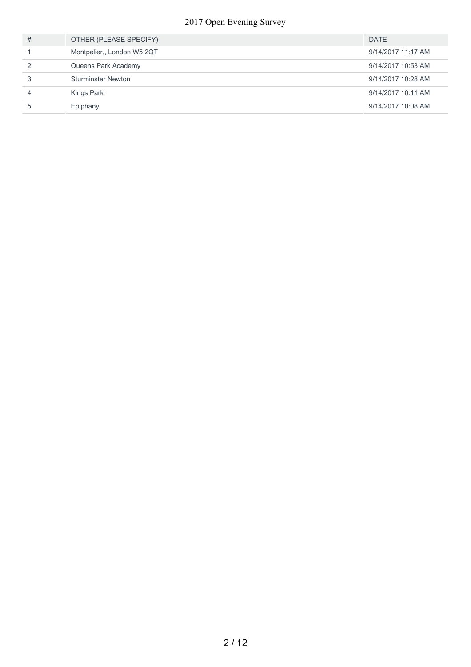#### Open Evening Survey

| # | OTHER (PLEASE SPECIFY)     | <b>DATE</b>        |
|---|----------------------------|--------------------|
|   | Montpelier,, London W5 2QT | 9/14/2017 11:17 AM |
|   | Queens Park Academy        | 9/14/2017 10:53 AM |
|   | <b>Sturminster Newton</b>  | 9/14/2017 10:28 AM |
| 4 | Kings Park                 | 9/14/2017 10:11 AM |
| 5 | Epiphany                   | 9/14/2017 10:08 AM |
|   |                            |                    |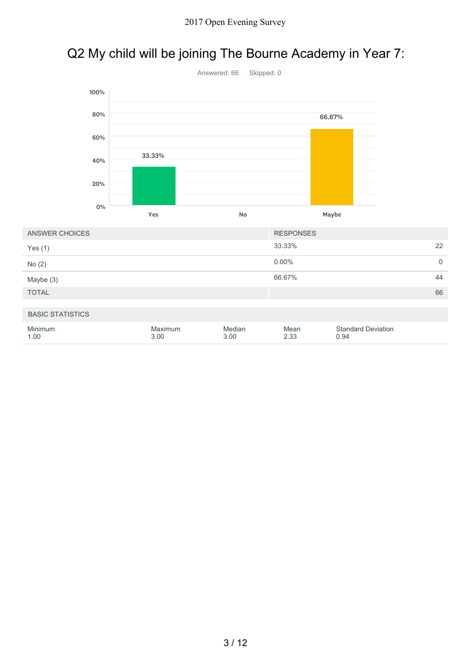# Q2 My child will be joining The Bourne Academy in Year 7:



| ANSWER CHOICES          |                 |                | <b>RESPONSES</b> |                                   |    |
|-------------------------|-----------------|----------------|------------------|-----------------------------------|----|
| Yes $(1)$               |                 |                | 33.33%           |                                   | 22 |
| No(2)                   |                 |                | $0.00\%$         |                                   | 0  |
| Maybe (3)               |                 |                | 66.67%           |                                   | 44 |
| <b>TOTAL</b>            |                 |                |                  |                                   | 66 |
| <b>BASIC STATISTICS</b> |                 |                |                  |                                   |    |
| Minimum<br>1.00         | Maximum<br>3.00 | Median<br>3.00 | Mean<br>2.33     | <b>Standard Deviation</b><br>0.94 |    |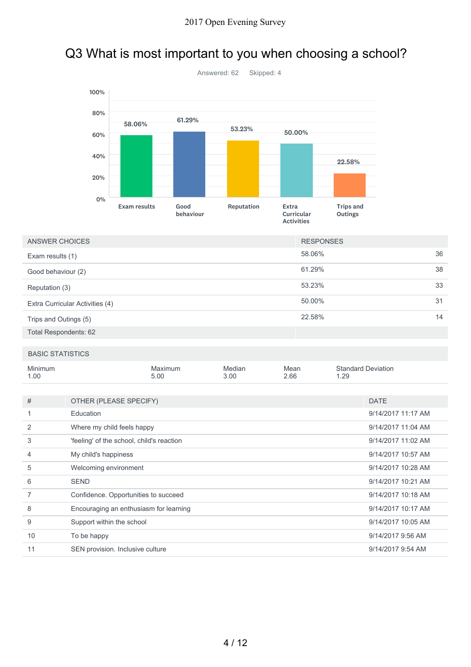### Q3 What is most important to you when choosing a school?



| ANSWER CHOICES                  | <b>RESPONSES</b> |    |
|---------------------------------|------------------|----|
| Exam results (1)                | 58.06%           | 36 |
| Good behaviour (2)              | 61.29%           | 38 |
| Reputation (3)                  | 53.23%           | 33 |
| Extra Curricular Activities (4) | 50.00%           | 31 |
| Trips and Outings (5)           | 22.58%           | 14 |
| <b>Total Respondents: 62</b>    |                  |    |

#### BASIC STATISTICS

| <b>Minimum</b><br>1.00 |                                           | Maximum<br>5.00 | Median<br>3.00 | Mean<br>2.66 | <b>Standard Deviation</b><br>1.29 |
|------------------------|-------------------------------------------|-----------------|----------------|--------------|-----------------------------------|
|                        |                                           |                 |                |              |                                   |
| #                      | OTHER (PLEASE SPECIFY)                    |                 |                |              | <b>DATE</b>                       |
| 1                      | Education                                 |                 |                |              | 9/14/2017 11:17 AM                |
| 2                      | Where my child feels happy                |                 |                |              | 9/14/2017 11:04 AM                |
| 3                      | 'feeling' of the school, child's reaction |                 |                |              | 9/14/2017 11:02 AM                |
| $\overline{4}$         | My child's happiness                      |                 |                |              | 9/14/2017 10:57 AM                |
| 5                      | Welcoming environment                     |                 |                |              | 9/14/2017 10:28 AM                |
| 6                      | <b>SEND</b>                               |                 |                |              | 9/14/2017 10:21 AM                |
| 7                      | Confidence. Opportunities to succeed      |                 |                |              | 9/14/2017 10:18 AM                |
| 8                      | Encouraging an enthusiasm for learning    |                 |                |              | 9/14/2017 10:17 AM                |
| 9                      | Support within the school                 |                 |                |              | 9/14/2017 10:05 AM                |
| 10                     | To be happy                               |                 |                |              | 9/14/2017 9:56 AM                 |
| 11                     | SEN provision. Inclusive culture          |                 |                |              | 9/14/2017 9:54 AM                 |
|                        |                                           |                 |                |              |                                   |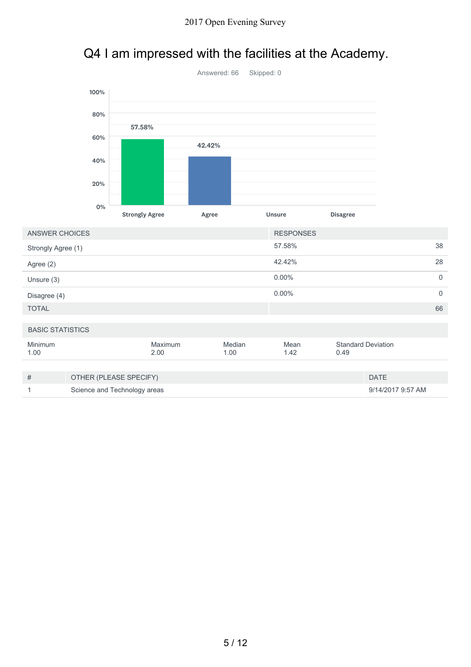## Q4 I am impressed with the facilities at the Academy.



| ANSWER CHOICES          |                              |                 |                | <b>RESPONSES</b> |      |                           |                |
|-------------------------|------------------------------|-----------------|----------------|------------------|------|---------------------------|----------------|
| Strongly Agree (1)      |                              |                 |                | 57.58%           |      |                           | 38             |
| Agree (2)               |                              |                 |                | 42.42%           |      |                           | 28             |
| Unsure (3)              |                              |                 |                | $0.00\%$         |      |                           | $\mathbf 0$    |
| Disagree (4)            |                              |                 |                | $0.00\%$         |      |                           | $\overline{0}$ |
| <b>TOTAL</b>            |                              |                 |                |                  |      |                           | 66             |
|                         |                              |                 |                |                  |      |                           |                |
| <b>BASIC STATISTICS</b> |                              |                 |                |                  |      |                           |                |
| Minimum<br>1.00         |                              | Maximum<br>2.00 | Median<br>1.00 | Mean<br>1.42     | 0.49 | <b>Standard Deviation</b> |                |
|                         |                              |                 |                |                  |      |                           |                |
| #                       | OTHER (PLEASE SPECIFY)       |                 |                |                  |      | <b>DATE</b>               |                |
| 1                       | Science and Technology areas |                 |                |                  |      | 9/14/2017 9:57 AM         |                |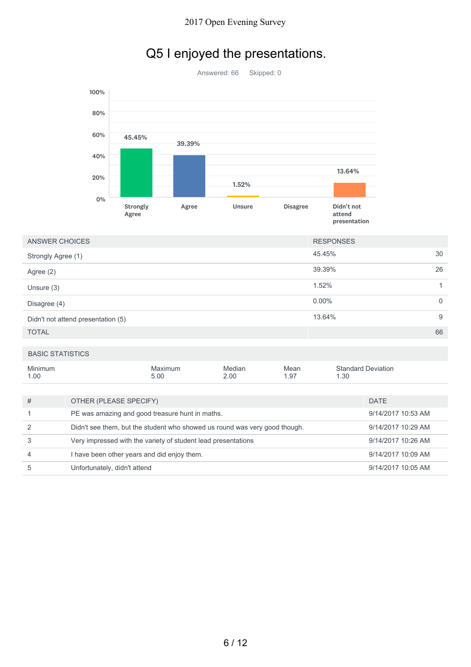## Q5 I enjoyed the presentations.

Answered: 66 Skipped: 0 Strongly Agree Agree Unsure Disagree Didn't not attend presentation 0% 20% 40% 60% 80% 100% 45.45% 45.45%45.45%45.45%45.45%39.39% 39.39% 39.39% 39.39% 1.52% 1.52% Unsure  $1.52\%$ 13.64%

| ANSWER CHOICES                     | <b>RESPONSES</b> |              |
|------------------------------------|------------------|--------------|
| Strongly Agree (1)                 | 45.45%           | 30           |
| Agree (2)                          | 39.39%           | 26           |
| Unsure $(3)$                       | 1.52%            |              |
| Disagree (4)                       | $0.00\%$         | $\mathbf{0}$ |
| Didn't not attend presentation (5) | 13.64%           | 9            |
| <b>TOTAL</b>                       |                  | 66           |

#### BASIC STATISTICS

| Minimum<br>1.00 |                                                                            | Maximum<br>5.00 | Median<br>2.00     | Mean<br>1.97 | 1.30 | <b>Standard Deviation</b> |
|-----------------|----------------------------------------------------------------------------|-----------------|--------------------|--------------|------|---------------------------|
|                 |                                                                            |                 |                    |              |      |                           |
| #               | OTHER (PLEASE SPECIFY)                                                     |                 | <b>DATE</b>        |              |      |                           |
|                 | PE was amazing and good treasure hunt in maths.                            |                 | 9/14/2017 10:53 AM |              |      |                           |
| $\mathcal{P}$   | Didn't see them, but the student who showed us round was very good though. |                 |                    |              |      | 9/14/2017 10:29 AM        |
| 3               | Very impressed with the variety of student lead presentations              |                 |                    |              |      | 9/14/2017 10:26 AM        |
| 4               | I have been other years and did enjoy them.                                |                 |                    |              |      | 9/14/2017 10:09 AM        |
| 5               | Unfortunately, didn't attend                                               |                 |                    |              |      | 9/14/2017 10:05 AM        |
|                 |                                                                            |                 |                    |              |      |                           |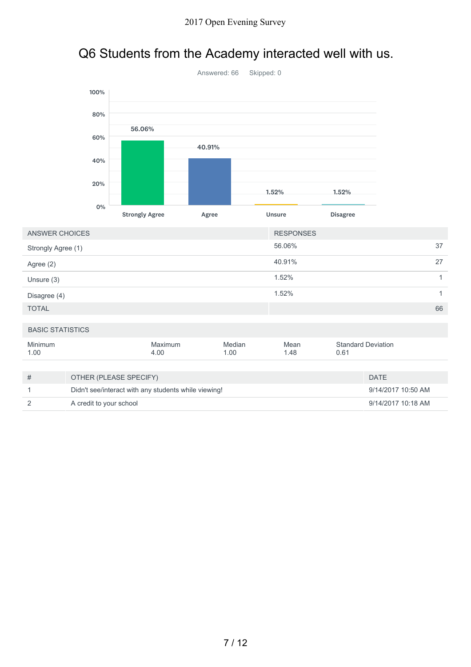#### Q6 Students from the Academy interacted well with us.



1.00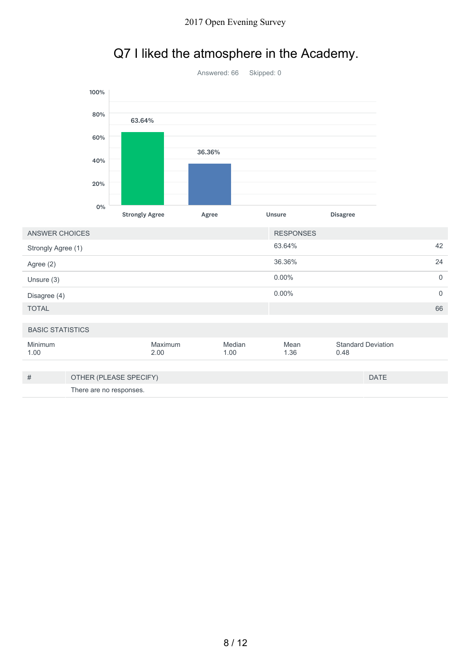

## Q7 I liked the atmosphere in the Academy.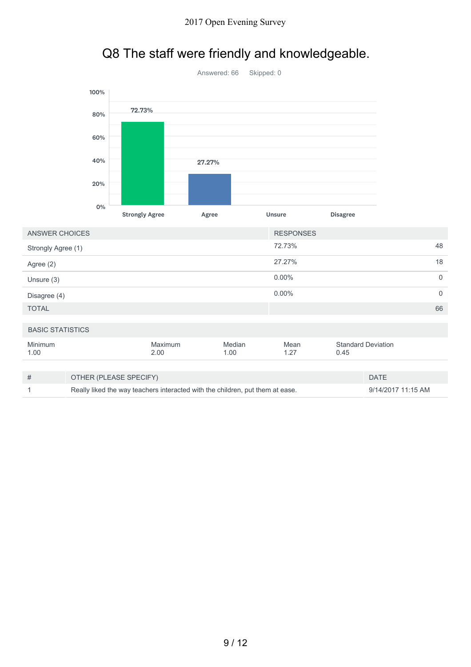## Q8 The staff were friendly and knowledgeable.



| ANSWER CHOICES          |                                                                                                     |                 |                | <b>RESPONSES</b> |      |                           |                |
|-------------------------|-----------------------------------------------------------------------------------------------------|-----------------|----------------|------------------|------|---------------------------|----------------|
| Strongly Agree (1)      |                                                                                                     |                 |                | 72.73%           |      |                           | 48             |
| Agree (2)               |                                                                                                     |                 |                | 27.27%           |      |                           | 18             |
| Unsure (3)              |                                                                                                     |                 |                | $0.00\%$         |      |                           | $\overline{0}$ |
| Disagree (4)            |                                                                                                     |                 |                | $0.00\%$         |      |                           | $\Omega$       |
| <b>TOTAL</b>            |                                                                                                     |                 |                |                  |      |                           | 66             |
| <b>BASIC STATISTICS</b> |                                                                                                     |                 |                |                  |      |                           |                |
| Minimum<br>1.00         |                                                                                                     | Maximum<br>2.00 | Median<br>1.00 | Mean<br>1.27     | 0.45 | <b>Standard Deviation</b> |                |
|                         |                                                                                                     |                 |                |                  |      |                           |                |
| #                       | <b>DATE</b><br>OTHER (PLEASE SPECIFY)                                                               |                 |                |                  |      |                           |                |
|                         | Really liked the way teachers interacted with the children, put them at ease.<br>9/14/2017 11:15 AM |                 |                |                  |      |                           |                |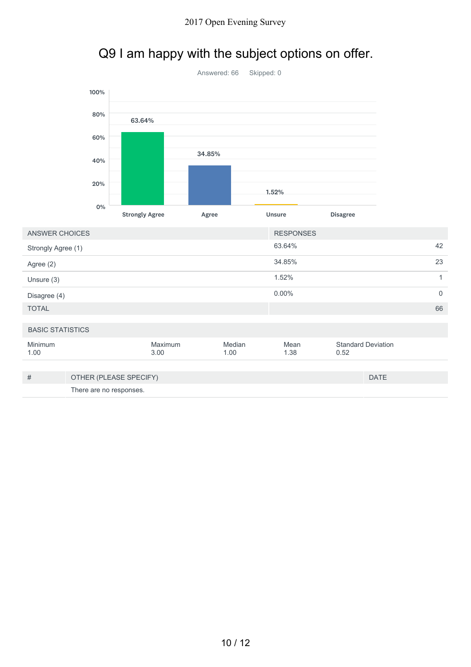## Q9 I am happy with the subject options on offer.

|                         |      |                       | Answered: 66 | Skipped: 0 |                  |                                   |                     |
|-------------------------|------|-----------------------|--------------|------------|------------------|-----------------------------------|---------------------|
|                         | 100% |                       |              |            |                  |                                   |                     |
|                         | 80%  | 63.64%                |              |            |                  |                                   |                     |
|                         | 60%  |                       |              |            |                  |                                   |                     |
|                         | 40%  |                       | 34.85%       |            |                  |                                   |                     |
|                         | 20%  |                       |              | 1.52%      |                  |                                   |                     |
|                         | 0%   | <b>Strongly Agree</b> | Agree        | Unsure     |                  | <b>Disagree</b>                   |                     |
| <b>ANSWER CHOICES</b>   |      |                       |              |            | <b>RESPONSES</b> |                                   |                     |
| Strongly Agree (1)      |      |                       |              |            | 63.64%           |                                   | 42                  |
| Agree (2)               |      |                       |              |            | 34.85%           |                                   | 23                  |
| Unsure (3)              |      |                       |              |            | 1.52%            |                                   | $\mathbf{1}$        |
| Disagree (4)            |      |                       |              |            | $0.00\%$         |                                   | $\mathsf{O}\xspace$ |
| <b>TOTAL</b>            |      |                       |              |            |                  |                                   | 66                  |
| <b>BASIC STATISTICS</b> |      |                       |              |            |                  |                                   |                     |
| Minimum<br>1.00         |      | Maximum<br>3.00       | 1.00         | Median     | Mean<br>1.38     | <b>Standard Deviation</b><br>0.52 |                     |

| # | OTHER (PLEASE SPECIFY)  | <b>DATE</b> |
|---|-------------------------|-------------|
|   | There are no responses. |             |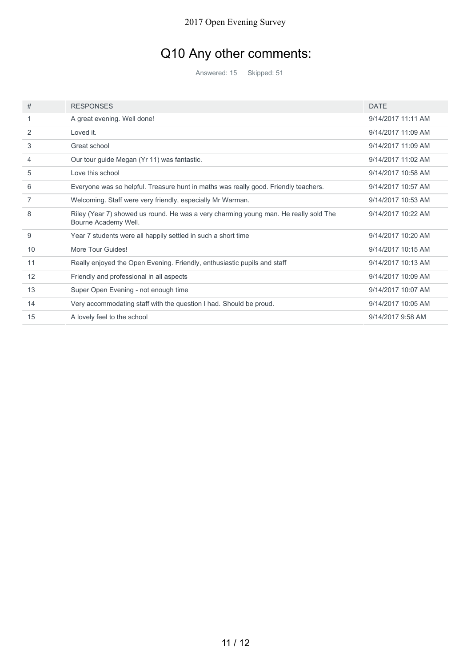## Q10 Any other comments:

Answered: 15 Skipped: 51

| #  | <b>RESPONSES</b>                                                                                             | <b>DATE</b>        |
|----|--------------------------------------------------------------------------------------------------------------|--------------------|
|    | A great evening. Well done!                                                                                  | 9/14/2017 11:11 AM |
| 2  | Loved it.                                                                                                    | 9/14/2017 11:09 AM |
| 3  | Great school                                                                                                 | 9/14/2017 11:09 AM |
| 4  | Our tour guide Megan (Yr 11) was fantastic.                                                                  | 9/14/2017 11:02 AM |
| 5  | Love this school                                                                                             | 9/14/2017 10:58 AM |
| 6  | Everyone was so helpful. Treasure hunt in maths was really good. Friendly teachers.                          | 9/14/2017 10:57 AM |
| 7  | Welcoming. Staff were very friendly, especially Mr Warman.                                                   | 9/14/2017 10:53 AM |
| 8  | Riley (Year 7) showed us round. He was a very charming young man. He really sold The<br>Bourne Academy Well. | 9/14/2017 10:22 AM |
| 9  | Year 7 students were all happily settled in such a short time                                                | 9/14/2017 10:20 AM |
| 10 | More Tour Guides!                                                                                            | 9/14/2017 10:15 AM |
| 11 | Really enjoyed the Open Evening. Friendly, enthusiastic pupils and staff                                     | 9/14/2017 10:13 AM |
| 12 | Friendly and professional in all aspects                                                                     | 9/14/2017 10:09 AM |
| 13 | Super Open Evening - not enough time                                                                         | 9/14/2017 10:07 AM |
| 14 | Very accommodating staff with the question I had. Should be proud.                                           | 9/14/2017 10:05 AM |
| 15 | A lovely feel to the school                                                                                  | 9/14/2017 9:58 AM  |